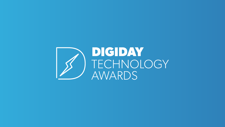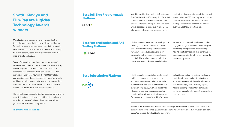# **SpotX, Klaviyo and Flip-Pay are Digiday Technology Awards winners**

Monetization and marketing are only as good as the technology platforms that fuel them. This year's Digiday Technology Awards winners played foundational roles in enabling media companies and marketers to earn money from their content, reach their audiences and make the most of digital real estate.

Successful brands and publishers turned to this year's winners to reach their audiences where they were actively consuming content, to increase lifetime value and to serve them with the assets that were likeliest to lead to conversions and upselling. With the right technology partners, brands and media companies were able to make well-informed decisions about everything from what their content should look like to when their assets should be served — and base those decisions on hard data.

The minds behind the content still reigned supreme when it came to ideation and strategy — but it was the technology provided by this year's winners that gave them all the guidance and information they needed.

### **This year's winners include:**

With high-profile clients such as A+E Networks, The CW Network and Discovery, SpotX enabled its media partners to monetize content across all screens and streams while providing advertisers with direct access to brand-safe inventory. The platform served as a one-stop programmatic

Klaviyo, an e-commerce platform used by more than 40,000 major brands such as Unilever and Kopari Beauty, is designed to accelerate revenue for online businesses using clientowned channels such as email, mobile web and SMS. Klaviyo also empowered clients to take a data-driven look at customer behaviors

Explore all the winners of the 2020 Digiday Technology Awards below. In each section, you'll find a quick rundown of the campaigns, along with insights into why they won and what we can learn from them. You can also download the full guide here.

Flip-Pay, a content monetization tool for digital publishers working in the news, podcast and streaming video industries, arrived at its current mission through a 2018 research and development project, which concluded that identity management was the prime culprit in countless failed attempts related to payments for content on publishers' sites. Flip-Pay created

### **Best Sell-Side Programmatic Platform**

**SPOTX** 

### **Best Personalization and A/B Testing Platform**

**KLAVIYO** 

### **Best Subscription Platform**



destination, where advertisers could buy live and video-on-demand OTT inventory across multiple platforms and devices. The minds at SpotX's media partners may have created the content but it was SpotX that spun it into gold.

such as products viewed, purchases and other engagement signals. Klaviyo has now emerged as a leading champion of owned marketing, helping clients connect with their customers on a deeply personalized level — and always on the brands' own platforms.

a cloud-based platform enabling publishers to create bundles and products for attracting new audience segments quickly — all at a lower cost than traditional paywalls. Ultimately, Flip-Pay has proved its hypothesis: More consumers would pay for content the instant that transacting became easier.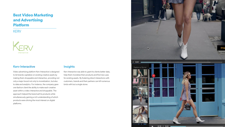Video advertising platform Kerv Interactive is designed to let brands capitalize on existing creative assets by making them shoppable and interactive, providing not only a major boost not only to monetization, but also to data and analytics. For instance, the company gave one fashion client the ability to make each creative asset within a video interactive and shoppable. The approach helped the brand sell its products while simultaneously gaining a rich understanding of which products were driving the most interest on digital platforms.

Kerv Interactive was able to grant its clients better data, help them monetize their products and find new uses for existing assets. By fostering direct interactions with customers, brands and their partners can kill numerous birds with but a single stone.



 $0:10$  /  $0:41$ 

# **Best Video Marketing and Advertising Platform**

**KERV** 



### Kerv Interactive **Insights**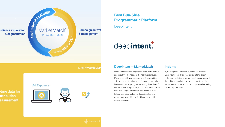

MarketMatch DSP





**Ad Exposure** 







DeepIntent is a buy-side programmatic platform built specifically for the needs of the healthcare industry. It's a market with unique risks and pitfalls, requiring strict adherence to privacy regulations and specialize integrations for targeting and reporting. DeepIntent' new MarketMatch platform, which launched for mor than 10 major pharmaceutical companies in 2019, helped marketers build new datasets to facilitate privacy-safe advertising while driving measurable patient outcomes.

| t  | By helping marketers build out granular datasets,     |
|----|-------------------------------------------------------|
|    | DeepIntent — and its new MarketMatch platform         |
|    | - helped marketers avoid any regulatory errors. With  |
| эd | the right data, marketers in even the most sensitive  |
| 's | industries can master automated buying while steering |
| e  | clear of any landmines.                               |
|    |                                                       |

# **Best Buy-Side Programmatic Platform**

**DeepIntent** 

# deepintent.

## DeepIntent — MarketMatch Insights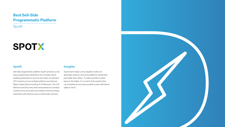Sell-side programmatic platform SpotX served as a onestop programmatic destination for its media clients, enabling advertisers to buy live and video-on-demand OTT inventory across multiple platforms and devices. Major media clients including A+E Networks, The CW Network and Discovery were empowered to monetize content across all screens and streams while providing advertisers with direct-access to brand-safe inventory.

### SpotX and the state of the state of the state of the state of the state of the state of the state of the state

Top-knotch media is only valuable insofar as it generates revenue, and some platforms handle that part better than others. To make sure that content earns to the fullest, it's crucial to find a partner that can monetize across every possible screen with brand safety in mind.



# **Best Sell-Side Programmatic Platform**

SpotX

# SPOTX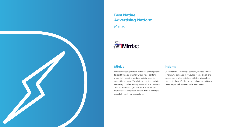Native advertising platform makes use of AI algorithms to identify new ad inventory within video content, dynamically inserting products and signage after content is produced. The platform enables brands to seamlessly populate existing videos with products and artwork. With Mirriad, brands are able to maximize the value of existing video content without rushing to greenlight costly new productions. One multinational beverage company enlisted Mirriad to help run a campaign that would not only drive brand exposures and sales, but also enable them to analyze changes to those KPIs. Innovative technology platforms have a way of melding sales and measurement.

# **Best Native Advertising Platform**

**Mirriad** 



### Mirriad **Insights**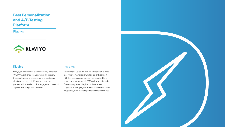Klaviyo, an e-commerce platform used by more than 40,000 major brands like Unilever and Huckberry. Designed to scale and accelerate revenue through client-owned channels, Klaviyo also provides its partners with a detailed look at engagement data such as purchases and products viewed.

### Klaviyo **Insights**

Klaviyo might just be the leading advocate of "owned" e-commerce monetization, helping clients connect with their customers on a deeply personalized level on platforms such as email, SMS and the mobile web. The company is teaching brands that there's much to be gained from relying on their own channels — just so long as they have the right partner to help them do so.



# **Best Personalization and A/B Testing Platform**

Klaviyo

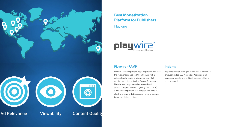Playwire's revenue platform helps its partners monetize their web, mobile app and OTT offerings, with a universal goal of pushing ad revenue past what media companies can find on Google Ad Manager. Playwire took things a step further with RAMP (Revenue Amplification Managed by Professionals), a monetization platform that merges direct ad sales, client- and server-side bidders and machine learningbased predictive analytics. Playwire's clients run the gamut from kids' edutainment producers to top-500 Alexa sites. Publishers of all shapes and sizes have one thing in common: They all need to monetize.



# **Best Monetization Platform for Publishers**

**Playwire** 



### Playwire - RAMP **Insights**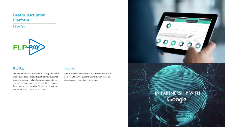The cloud-based Flip-Pay platform allows publishers to create bundles and products to attract new audience segments quickly — all while managing user identity and maintaining a lower cost than traditional paywalls. But more than anything else, Flip-Pay's mission is to make it easier for users to pay for content.

### Flip-Pay **Insights**

Flip-Pay operates under the mindset that consumers are more likely to pay for publisher content when doing so becomes easier. Its partners would agree.



## **Best Subscription Platform**

Flip-Pay

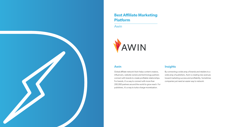Global affiliate network Awin helps content creators, influencers, website owners and technology partners connect with brands to create profitable relationships. For brands, it's a way to connect with more than 200,000 partners around the world to grow reach. For publishers, it's a way to turbo-charge monetization. By connecting a wide array of brands and retailers to a wide array of publishers, Awin is creating new avenues toward marketing success and profitability. Sometimes companies just need an easier way to network.

### Awin **Insights**



# **Best Affiliate Marketing Platform**

Awin

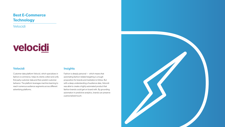Customer data platform Velocid, which specializes in fashion e-commerce, helps its clients collect and unify first-party customer data and then predict customer behavior. The platform leverages machine learning to reach numerous audience segments across different advertising platforms.

Fashion is deeply personal — which means that automating fashion-related targeting is a tough proposition for brands and marketers to follow. But with a deep understanding of audience data, Velocidi was able to create a highly automated product that fashion brands could get on board with. By grounding automation in predictive analytics, brands can preserve a personalized touch.



# **Best E-Commerce Technology**

Velocidi

# velocidi

### Velocidi **Insights**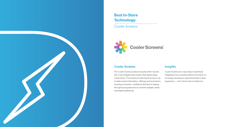The Cooler Screens product is exactly what it sounds like: A set of digital smart screens that replace glass cooler doors. The screens provide instant access to upto-date product information, offerings and promotions, boosting consumers' confidence that they're making the right buying decisions to suit their budgets, tastes and health preferences. Cooler Screens are a case study in seamlessly integrating into an existing retail environment. It's not always necessary to upend the entire in-store experience — but it never hurts to enhance it.



# **Best In-Store Technology**

Cooler Screens



### Cooler Screens **Insights**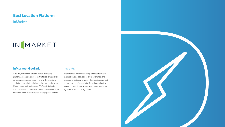GeoLink, InMarket's location-based marketing platform, enables brands to activate real-time digital advertising in the moments — and at the locations — that matter, whether in home, in-store or elsewhere. Major clients such as Unilever, P&G and Kimberly Clark have relied on GeoLink to reach audiences at the moments when they're likeliest to engage — convert.

With location-based marketing, brands are able to leverage unique data sets to drive awareness and engagement at the moments when audiences are at peak moments of receptivity. Sometimes, effective marketing is as simple as reaching customers in the right place, and at the right time.



## **Best Location Platform**

InMarket

# INMARKET

### InMarket - GeoLink and Insights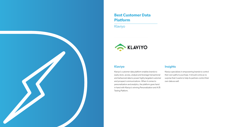Klaviyo's customer data platform enables brands to easily store, access, analyze and leverage transaction and behavioral data to power highly-targeted custon and prospect communications. When it comes to personalization and analytics, the platform goes hand in hand with Klaviyo's winning Personalization and A/B Testing Platform.

|     | Klaviyo specializes in empowering brands to control       |
|-----|-----------------------------------------------------------|
| nal | their own paths to purchase. It should come as no         |
| mer | surprise that it wants to help its partners control their |
|     | own data as well.                                         |
|     |                                                           |



# **Best Customer Data Platform**

Klaviyo



### Klaviyo **Insights**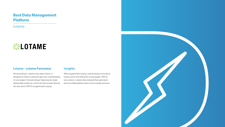Panorama Buyer, Lotame's new data solution, is designed to help its customers gain new understanding of core targets. Panorama Buyer helps brands create addressable audiences, which are then pushed directly into the client's DSP for programmatic buying.

With programmatic buying, brands always worry about losing control and hitting the wrong targets. With its new solution, Lotame demonstrated that automation and true addressability need not be mutually exclusive.



## **Best Data Management Platform**

Lotame



### Lotame - Lotame Panorama Insights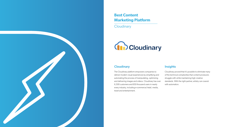The Cloudinary platform empowers companies to deliver modern visual experiences by simplifying and automating the process of manipulating, optimizing and delivering images and videos. Cloudinary has over 6,500 customers and 650 thousand users in nearly every industry, including e-commerce/retail, media, travel and entertainment. Cloudinary proved that it's possible to eliminate many of the technical complexities that content producers struggle with while maintaining high creative standards. With the right partner, artistry can coexist with automation.





# **Best Content Marketing Platform**

**Cloudinary** 

# Gibcloudinary

### Cloudinary **Insights**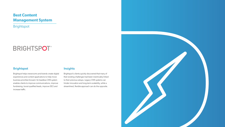### Brightspot Insights

Brightspot helps newsrooms and brands create digital experiences and content applications to help move business priorities forward. Its headless CMS system enables clients to improve communications, improve fundraising, boost qualified leads, improve SEO and increase traffic.

Brightspot's clients quickly discovered that many of their existing challenges had been inextricably linked to their previous setups. Legacy CMS systems can hinder innovation and long-term scalability, while a streamlined, flexible approach can do the opposite.



# **Best Content Management System**

Brightspot

# **BRIGHTSPOT®**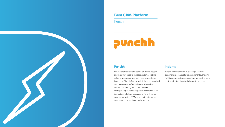Punchh enables its brand partners with the insights and tools they need to increase customer lifetime value, drive revenue and optimize every customer interaction. The platform, which delivers personalized communications, offers and rewards based on consumer spending habits and real-time data, leverages AI-generated insights and offers countless integrations into business systems. Punchh stands apart in a crowded CRM market for the strength and customization of its digital loyalty solution.

Punchh committed itself to creating a seamless customer experience at every consumer touchpoint. Nothing perpetuates customer loyalty more than an indepth understanding of existing customer data.



## **Best CRM Platform**

Punchh

# punchh

### Punchh **Insights**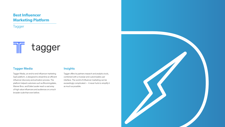Tagger Media, an end-to-end influencer marketing SaaS platform, is designed to streamline an efficient influencer discovery and activation process. The platform helped customers such as Bloomingdales, Warner Bros. and Estée Lauder reach a vast array of high value influencers and audiences on a much broader scale than ever before.

Tagger offers its partners research and analytics tools, combined with a modular and customizable user interface. The world of influencer marketing can be exceedingly complicated — it never hurts to simplify it as much as possible.



# **Best Influencer Marketing Platform**

Tagger

# $\mathbb{T}$ tagger

### Tagger Media **Insights**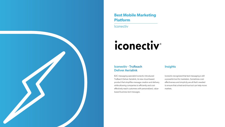Iconectiv - TruReach Deliver Aerialink

B2C messaging specialist Iconectiv introduced TruReach Deliver Aerialink, its new cloud-based product that simplifies message creation and delivery while allowing companies to efficiently and costeffectively reach customers with personalized, valuebased business text messages.

### **Insights**

Iconectiv recognized that text messaging is still a powerful tool for marketers. Sometimes costeffectiveness and simplicity are all that's needed to ensure that a tried-and-true tool can help move markets.



**Iconectiv** 

# iconectiv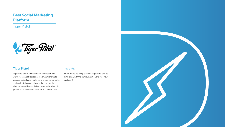Tiger Pistol provided brands with automation and workflow capability to reduce the amount of time to process, build, launch, optimize and monitor individual social advertising campaigns. In the process, the platform helped brands deliver better social advertising performance and deliver measurable business impact.

 Social media is a complex beast. Tiger Pistol proved that brands, with the right automation and workflows, can tame it.



## **Best Social Marketing Platform**

Tiger Pistol



### Tiger Pistol **Insights**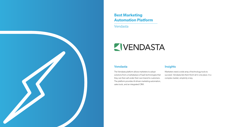The Vendasta platform allows marketers to adopt solutions from a marketplace of SaaS technologies that they can then sell under their own brand to customer The platform provides AI-driven marketing automation, sales tools, and an integrated CRM.

|     | Marketers need a wide array of technology tools to         |
|-----|------------------------------------------------------------|
| hat | succeed. Vendasta lets them find it all in one place. In a |
| rs. | complex market, simplicity is key.                         |
| on, |                                                            |

# **Best Marketing Automation Platform**

Vendasta

# ZIVENDASTA

### Vendasta **Insights**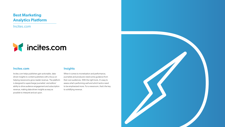Incites.com helps publishers gain actionable, datadriven insights to content publishers with a focus on helping newsrooms grow reader revenue. The platform is designed to supercharge journalists' and editors' ability to drive audience engagement and subscription revenue, making data-driven insights as easy as possible to interpret and act upon.

When it comes to monetization and performance, journalists and producers need some guidance from their own audiences. With the right tools, it's easy to assess what's performing well and which tactics need to be emphasized more. For a newsroom, that's the key to solidifying revenue.



# **Best Marketing Analytics Platform**

Incites.com



### Incites.com and Insights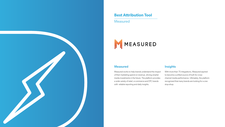Measured works to help brands understand the impact of their marketing spend on revenue, driving smarter media investments in the future. The platform provides a wide variety of retail, e-commerce and DTC brands with reliable reporting and daily insights. With more than 75 integrations, Measured aspired to become a unified source of truth for crosschannel media performance. Ultimately, the platform recognized that many brands are looking for a onestop-shop.



# **Best Attribution Tool**

Measured



### Measured **Insights**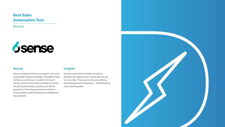### 6sense Insights

6sense is designed to help revenue teams create more sophisticated, targeted campaigns. The platform helps identify accounts that are in-market for the brand's solution, prioritize actions that are likeliest to succeed, and deliver personalized, consistent, and relevant experiences. The strategy represents a break from the less ambitious lead-based approach employed by many marketers.

6sense recognized that marketers are dying to generate more opportunities, increase deal size and win more often. That required casting an ambitious, automated approach to marketing — and the breaking of old marketing habits.



## **Best Sales Automation Tool**

6sense